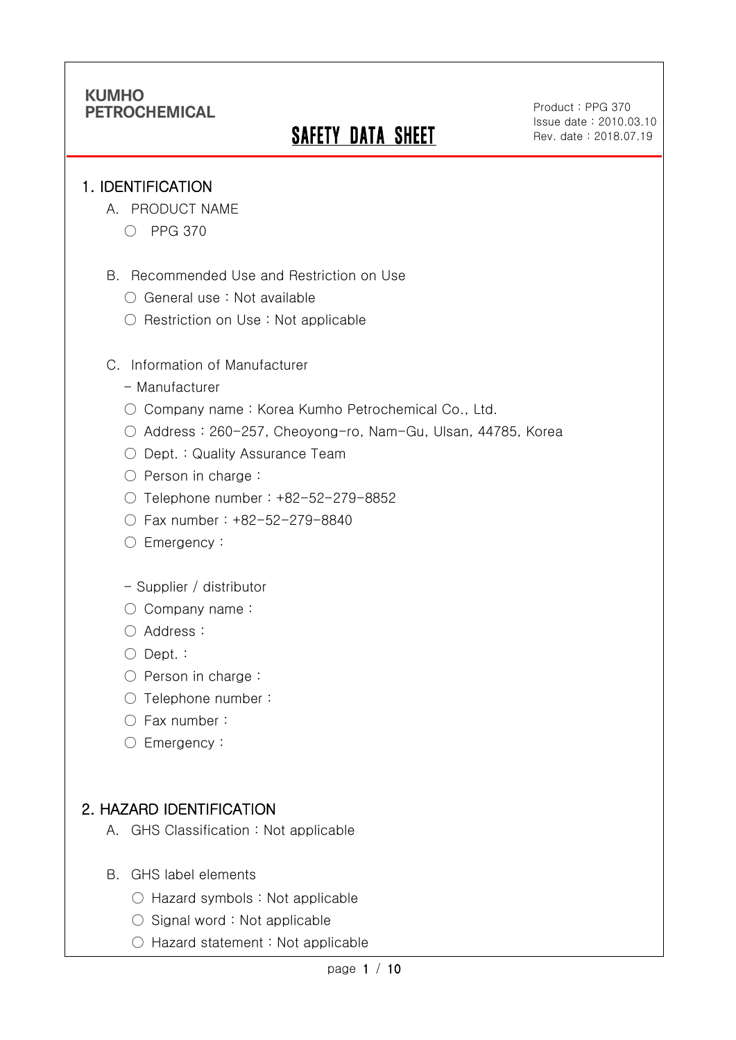# **SAFETY DATA SHEET**

Product : PPG 370 Issue date : 2010.03.10 Rev. date : 2018.07.19

#### 1. IDENTIFICATION

Ī

- A. PRODUCT NAME
	- PPG 370
- B. Recommended Use and Restriction on Use
	- General use : Not available
	- Restriction on Use : Not applicable
- C. Information of Manufacturer
	- Manufacturer
	- Company name: Korea Kumho Petrochemical Co., Ltd.
	- Address : 260-257, Cheoyong-ro, Nam-Gu, Ulsan, 44785, Korea
	- Dept. : Quality Assurance Team
	- Person in charge :
	- Telephone number : +82-52-279-8852
	- Fax number : +82-52-279-8840
	- Emergency:
	- Supplier / distributor
	- Company name:
	- Address :
	- Dept. :
	- Person in charge :
	- Telephone number :
	- Fax number :
	- Emergency:

### 2. HAZARD IDENTIFICATION

- A. GHS Classification : Not applicable
- B. GHS label elements
	- Hazard symbols : Not applicable
	- Signal word : Not applicable
	- Hazard statement : Not applicable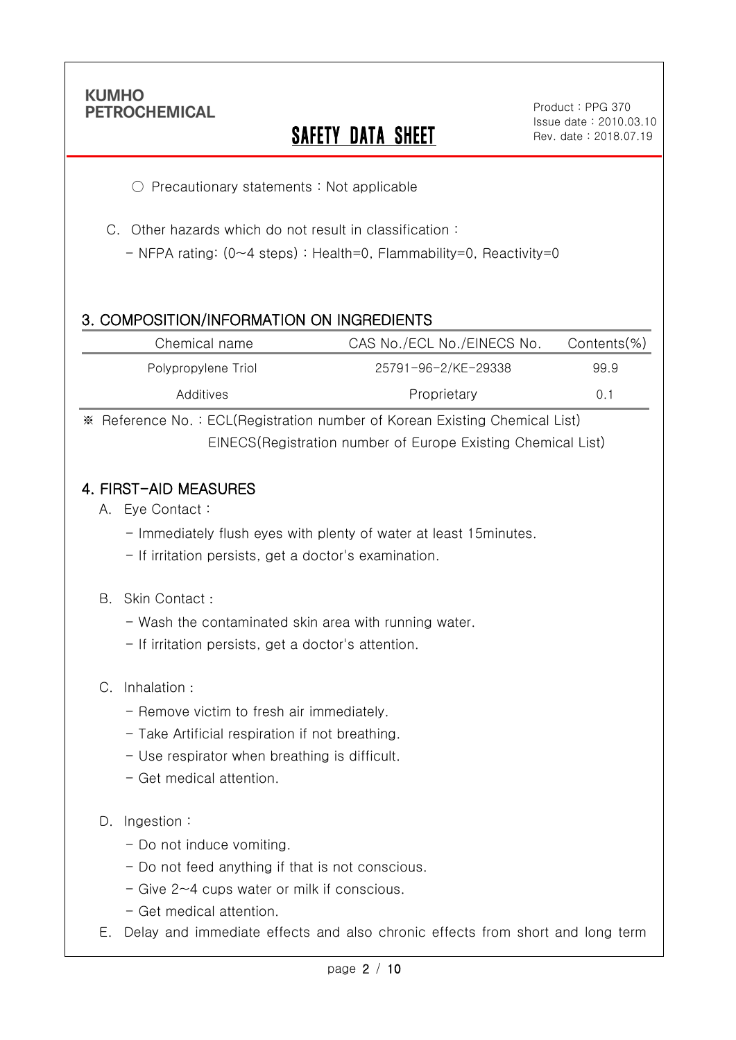Ī

# **SAFETY DATA SHEET**

○ Precautionary statements : Not applicable

C. Other hazards which do not result in classification :

- NFPA rating: (0~4 steps) : Health=0, Flammability=0, Reactivity=0

### 3. COMPOSITION/INFORMATION ON INGREDIENTS

| Chemical name       | CAS No./ECL No./EINECS No. | Contents(%) |
|---------------------|----------------------------|-------------|
| Polypropylene Triol | 25791-96-2/KE-29338        | 99.9        |
| Additives           | Proprietary                | 0.1         |

※ Reference No. : ECL(Registration number of Korean Existing Chemical List) EINECS(Registration number of Europe Existing Chemical List)

#### 4. FIRST-AID MEASURES

- A. Eye Contact :
	- Immediately flush eyes with plenty of water at least 15minutes.
	- If irritation persists, get a doctor's examination.

#### B. Skin Contact :

- Wash the contaminated skin area with running water.
- If irritation persists, get a doctor's attention.

#### C. Inhalation :

- Remove victim to fresh air immediately.
- Take Artificial respiration if not breathing.
- Use respirator when breathing is difficult.
- Get medical attention.

#### D. Ingestion:

- Do not induce vomiting.
- Do not feed anything if that is not conscious.
- Give 2~4 cups water or milk if conscious.
- Get medical attention.
- E. Delay and immediate effects and also chronic effects from short and long term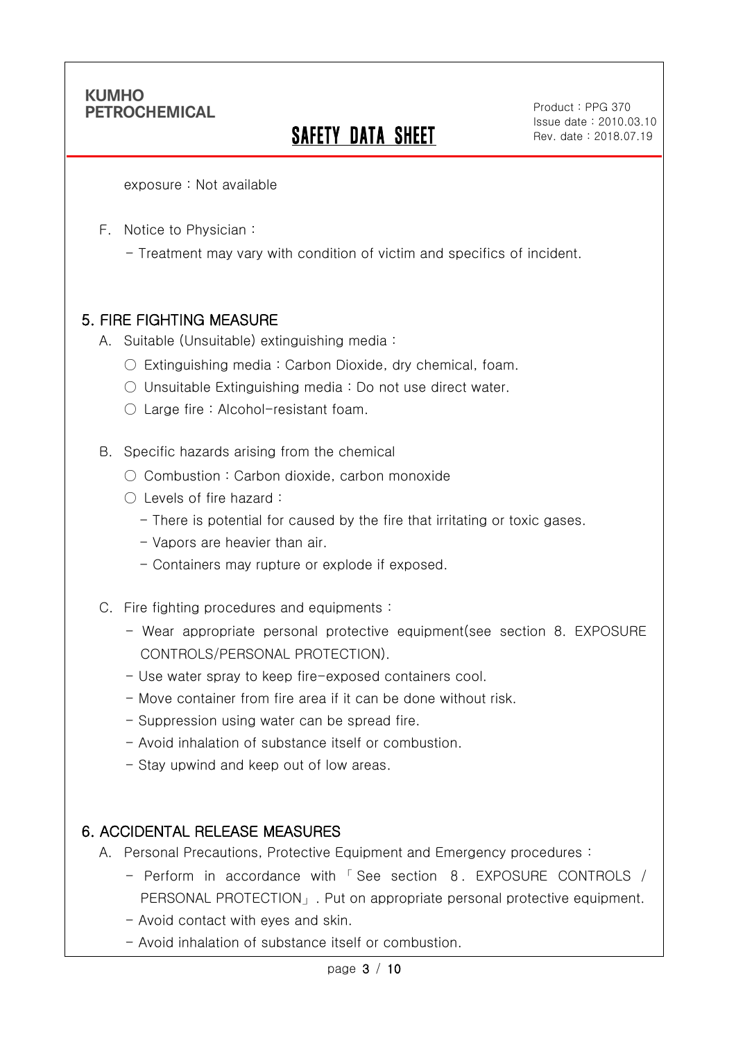Ī

# SAFETY DATA SHEET

Product : PPG 370 Issue date : 2010.03.10 Rev. date : 2018.07.19

exposure : Not available

F. Notice to Physician :

- Treatment may vary with condition of victim and specifics of incident.

### 5. FIRE FIGHTING MEASURE

- A. Suitable (Unsuitable) extinguishing media :
	- $\circ$  Extinguishing media : Carbon Dioxide, dry chemical, foam.
	- Unsuitable Extinguishing media : Do not use direct water.
	- Large fire : Alcohol-resistant foam.

B. Specific hazards arising from the chemical

- Combustion: Carbon dioxide, carbon monoxide
- Levels of fire hazard :
	- There is potential for caused by the fire that irritating or toxic gases.
	- Vapors are heavier than air.
	- Containers may rupture or explode if exposed.
- C. Fire fighting procedures and equipments :
	- Wear appropriate personal protective equipment(see section 8. EXPOSURE CONTROLS/PERSONAL PROTECTION).
	- Use water spray to keep fire-exposed containers cool.
	- Move container from fire area if it can be done without risk.
	- Suppression using water can be spread fire.
	- Avoid inhalation of substance itself or combustion.
	- Stay upwind and keep out of low areas.

#### 6. ACCIDENTAL RELEASE MEASURES

- A. Personal Precautions, Protective Equipment and Emergency procedures :
	- Perform in accordance with 「 See section 8. EXPOSURE CONTROLS / PERSONAL PROTECTION」. Put on appropriate personal protective equipment.
	- Avoid contact with eyes and skin.
	- Avoid inhalation of substance itself or combustion.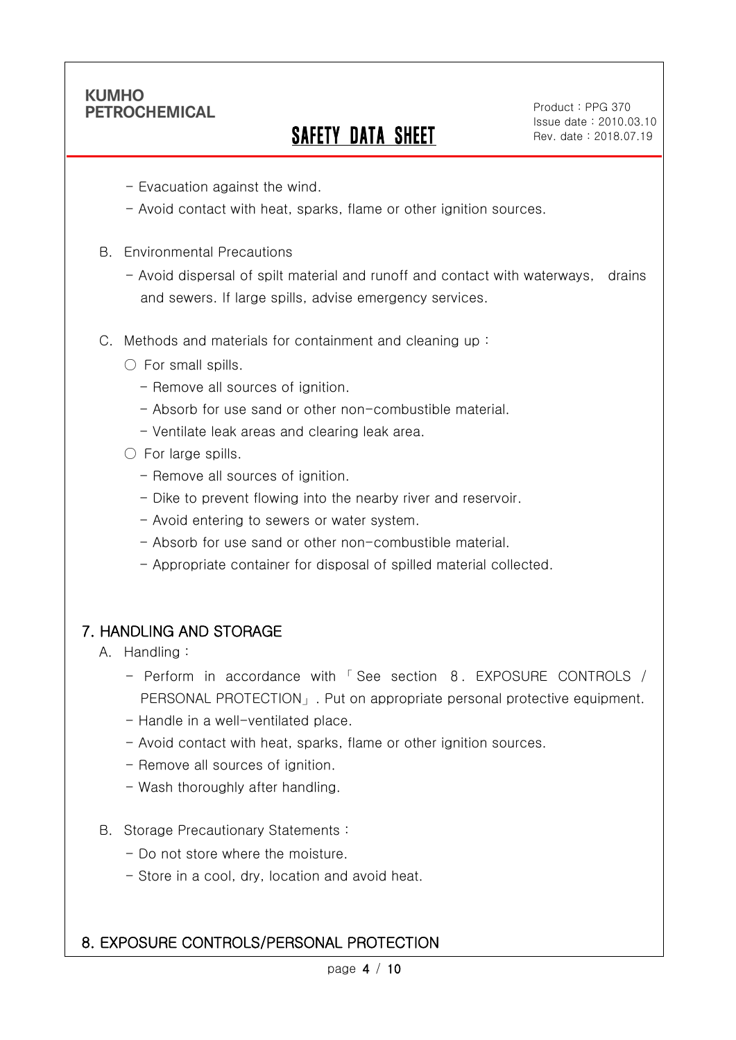Ī

# SAFETY DATA SHEET

Product : PPG 370 Issue date : 2010.03.10 Rev. date : 2018.07.19

- Evacuation against the wind.
- Avoid contact with heat, sparks, flame or other ignition sources.
- B. Environmental Precautions
	- Avoid dispersal of spilt material and runoff and contact with waterways, drains and sewers. If large spills, advise emergency services.
- C. Methods and materials for containment and cleaning up :
	- $\bigcirc$  For small spills.
		- Remove all sources of ignition.
		- Absorb for use sand or other non-combustible material.
		- Ventilate leak areas and clearing leak area.
	- For large spills.
		- Remove all sources of ignition.
		- Dike to prevent flowing into the nearby river and reservoir.
		- Avoid entering to sewers or water system.
		- Absorb for use sand or other non-combustible material.
		- Appropriate container for disposal of spilled material collected.

### 7. HANDLING AND STORAGE

- A. Handling :
	- Perform in accordance with 「 See section 8. EXPOSURE CONTROLS / PERSONAL PROTECTION」. Put on appropriate personal protective equipment.
	- Handle in a well-ventilated place.
	- Avoid contact with heat, sparks, flame or other ignition sources.
	- Remove all sources of ignition.
	- Wash thoroughly after handling.
- B. Storage Precautionary Statements :
	- Do not store where the moisture.
	- Store in a cool, dry, location and avoid heat.

### 8. EXPOSURE CONTROLS/PERSONAL PROTECTION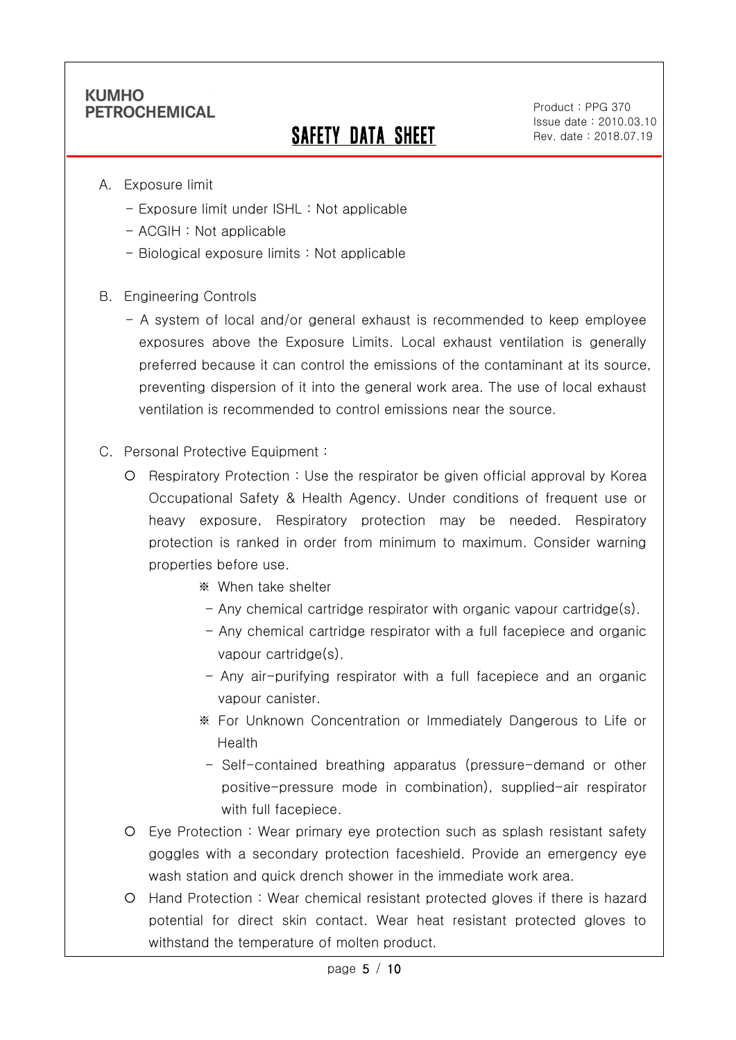Ī

# SAFETY DATA SHEET

Product : PPG 370 Issue date : 2010.03.10 Rev. date : 2018.07.19

- A. Exposure limit
	- Exposure limit under ISHL : Not applicable
	- ACGIH : Not applicable
	- Biological exposure limits : Not applicable
- B. Engineering Controls
	- A system of local and/or general exhaust is recommended to keep employee exposures above the Exposure Limits. Local exhaust ventilation is generally preferred because it can control the emissions of the contaminant at its source, preventing dispersion of it into the general work area. The use of local exhaust ventilation is recommended to control emissions near the source.
- C. Personal Protective Equipment :
	- Respiratory Protection : Use the respirator be given official approval by Korea Occupational Safety & Health Agency. Under conditions of frequent use or heavy exposure, Respiratory protection may be needed. Respiratory protection is ranked in order from minimum to maximum. Consider warning properties before use.
		- ※ When take shelter
		- $-$  Any chemical cartridge respirator with organic vapour cartridge(s).
		- Any chemical cartridge respirator with a full facepiece and organic vapour cartridge(s).
		- Any air-purifying respirator with a full facepiece and an organic vapour canister.
		- ※ For Unknown Concentration or Immediately Dangerous to Life or Health
		- Self-contained breathing apparatus (pressure-demand or other positive-pressure mode in combination), supplied-air respirator with full facepiece.
	- Eye Protection : Wear primary eye protection such as splash resistant safety goggles with a secondary protection faceshield. Provide an emergency eye wash station and quick drench shower in the immediate work area.
	- Hand Protection : Wear chemical resistant protected gloves if there is hazard potential for direct skin contact. Wear heat resistant protected gloves to withstand the temperature of molten product.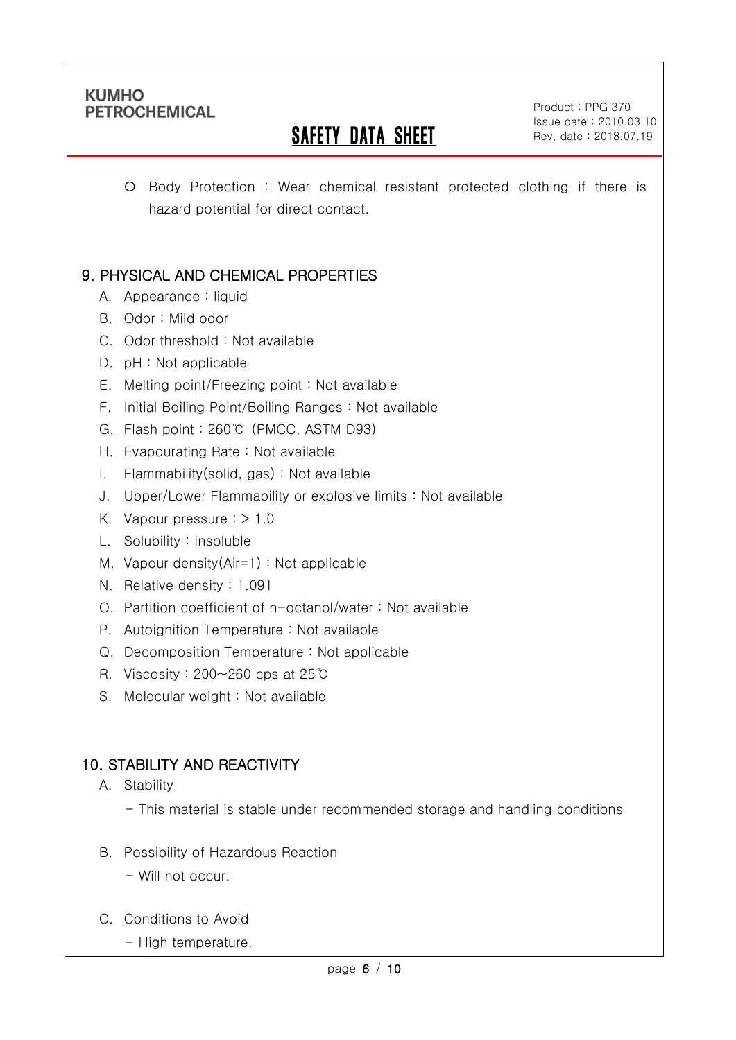Ī

# SAFETY DATA SHEET

Product : PPG 370 Issue date : 2010.03.10 Rev. date : 2018.07.19

 Body Protection : Wear chemical resistant protected clothing if there is hazard potential for direct contact.

# 9. PHYSICAL AND CHEMICAL PROPERTIES

- A. Appearance : liquid
- B. Odor : Mild odor
- C. Odor threshold : Not available
- D. pH : Not applicable
- E. Melting point/Freezing point : Not available
- F. Initial Boiling Point/Boiling Ranges : Not available
- G. Flash point : 260℃ (PMCC, ASTM D93)
- H. Evapourating Rate : Not available
- I. Flammability(solid, gas) : Not available
- J. Upper/Lower Flammability or explosive limits : Not available
- K. Vapour pressure  $:$  > 1.0
- L. Solubility : Insoluble
- M. Vapour density(Air=1) : Not applicable
- N. Relative density : 1.091
- O. Partition coefficient of n-octanol/water : Not available
- P. Autoignition Temperature : Not available
- Q. Decomposition Temperature : Not applicable
- R. Viscosity : 200~260 cps at 25℃
- S. Molecular weight: Not available

### 10. STABILITY AND REACTIVITY

- A. Stability
	- This material is stable under recommended storage and handling conditions
- B. Possibility of Hazardous Reaction
	- Will not occur.
- C. Conditions to Avoid
	- High temperature.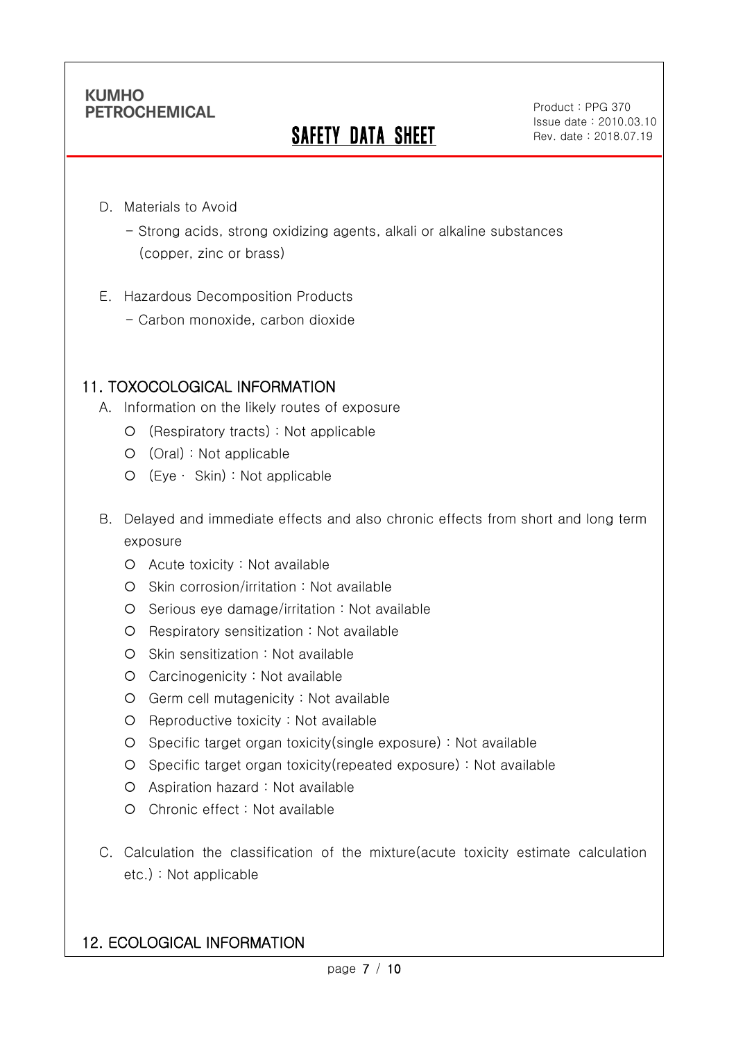Ī

# **SAFETY DATA SHEET**

Product : PPG 370 Issue date : 2010.03.10 Rev. date : 2018.07.19

- D. Materials to Avoid
	- Strong acids, strong oxidizing agents, alkali or alkaline substances (copper, zinc or brass)
- E. Hazardous Decomposition Products
	- Carbon monoxide, carbon dioxide

## 11. TOXOCOLOGICAL INFORMATION

- A. Information on the likely routes of exposure
	- (Respiratory tracts) : Not applicable
	- (Oral) : Not applicable
	- (Eye ∙ Skin) : Not applicable
- B. Delayed and immediate effects and also chronic effects from short and long term exposure
	- Acute toxicity : Not available
	- O Skin corrosion/irritation : Not available
	- O Serious eye damage/irritation : Not available
	- O Respiratory sensitization : Not available
	- O Skin sensitization : Not available
	- Carcinogenicity : Not available
	- Germ cell mutagenicity : Not available
	- O Reproductive toxicity : Not available
	- Specific target organ toxicity(single exposure) : Not available
	- Specific target organ toxicity(repeated exposure) : Not available
	- Aspiration hazard : Not available
	- Chronic effect : Not available
- C. Calculation the classification of the mixture(acute toxicity estimate calculation etc.) : Not applicable

### 12. ECOLOGICAL INFORMATION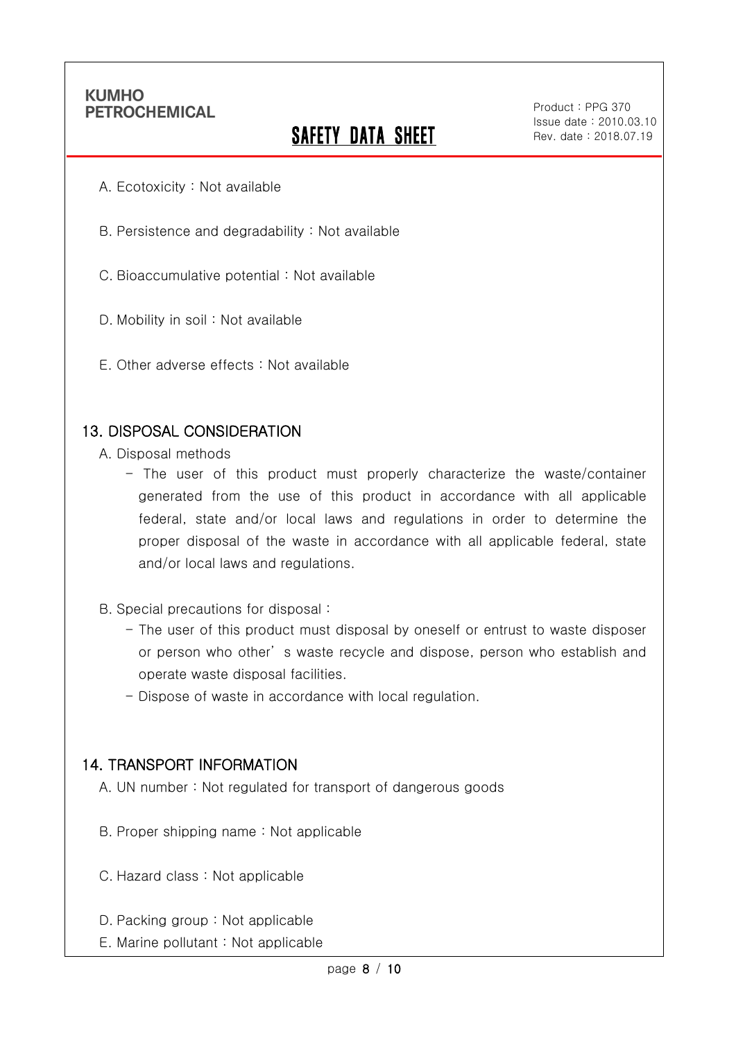Ī

# **SAFETY DATA SHEET**

Product : PPG 370 Issue date : 2010.03.10 Rev. date : 2018.07.19

- A. Ecotoxicity : Not available
- B. Persistence and degradability : Not available
- C. Bioaccumulative potential : Not available
- D. Mobility in soil : Not available
- E. Other adverse effects : Not available

#### 13. DISPOSAL CONSIDERATION

- A. Disposal methods
	- The user of this product must properly characterize the waste/container generated from the use of this product in accordance with all applicable federal, state and/or local laws and regulations in order to determine the proper disposal of the waste in accordance with all applicable federal, state and/or local laws and regulations.
- B. Special precautions for disposal :
	- The user of this product must disposal by oneself or entrust to waste disposer or person who other' s waste recycle and dispose, person who establish and operate waste disposal facilities.
	- Dispose of waste in accordance with local regulation.

#### 14. TRANSPORT INFORMATION

- A. UN number : Not regulated for transport of dangerous goods
- B. Proper shipping name : Not applicable
- C. Hazard class : Not applicable
- D. Packing group : Not applicable
- E. Marine pollutant : Not applicable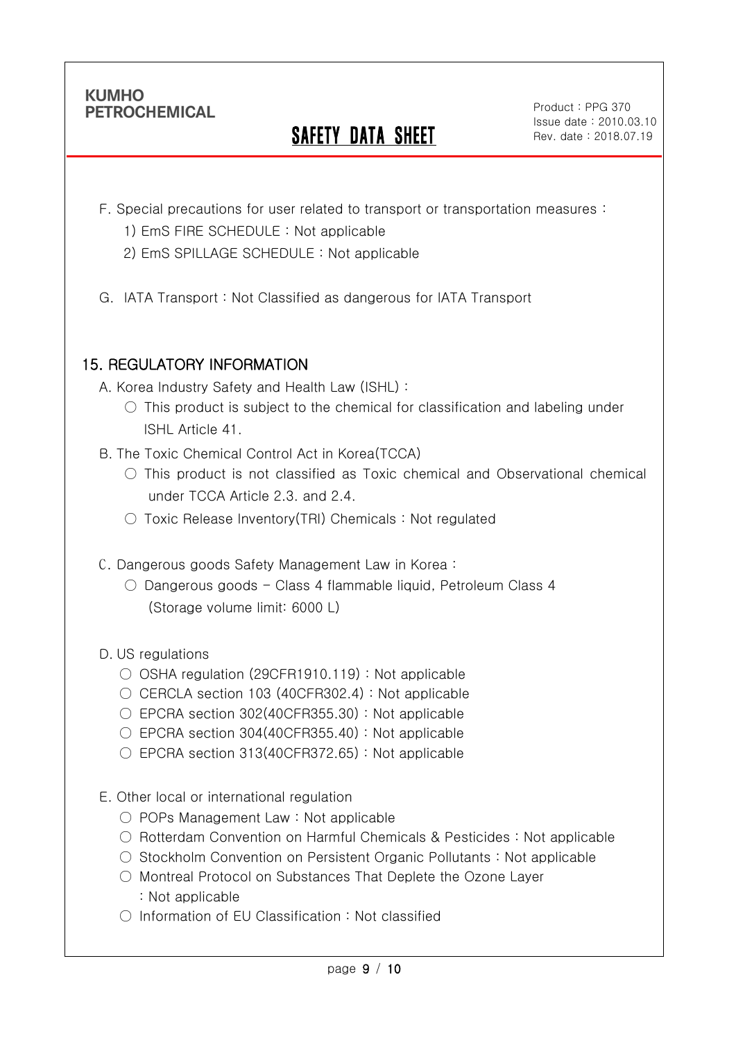Ī

# SAFETY DATA SHEET

Product : PPG 370 Issue date : 2010.03.10 Rev. date : 2018.07.19

- F. Special precautions for user related to transport or transportation measures :
	- 1) EmS FIRE SCHEDULE : Not applicable
	- 2) EmS SPILLAGE SCHEDULE : Not applicable
- G. IATA Transport : Not Classified as dangerous for IATA Transport

# 15. REGULATORY INFORMATION

A. Korea Industry Safety and Health Law (ISHL) :

- $\circ$  This product is subject to the chemical for classification and labeling under ISHL Article 41.
- B. The Toxic Chemical Control Act in Korea(TCCA)
	- This product is not classified as Toxic chemical and Observational chemical under TCCA Article 2.3. and 2.4.
	- Toxic Release Inventory(TRI) Chemicals : Not regulated
- C. Dangerous goods Safety Management Law in Korea :
	- $\circ$  Dangerous goods Class 4 flammable liquid, Petroleum Class 4 (Storage volume limit: 6000 L)

D. US regulations

- OSHA regulation (29CFR1910.119) : Not applicable
- $\circ$  CERCLA section 103 (40CFR302.4) : Not applicable
- EPCRA section 302(40CFR355.30): Not applicable
- $\circ$  EPCRA section 304(40CFR355.40) : Not applicable
- EPCRA section 313(40CFR372.65): Not applicable
- E. Other local or international regulation
	- POPs Management Law : Not applicable
	- Rotterdam Convention on Harmful Chemicals & Pesticides : Not applicable
	- Stockholm Convention on Persistent Organic Pollutants : Not applicable
	- Montreal Protocol on Substances That Deplete the Ozone Layer : Not applicable
	- Information of EU Classification : Not classified